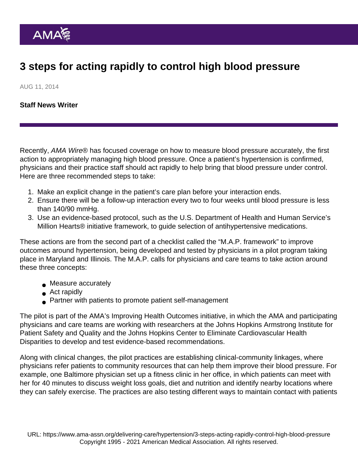## 3 steps for acting rapidly to control high blood pressure

AUG 11, 2014

[Staff News Writer](https://www.ama-assn.org/news-leadership-viewpoints/authors-news-leadership-viewpoints/staff-news-writer)

Recently, AMA Wire® has focused coverage on how to measure blood pressure accurately, the first action to appropriately managing high blood pressure. Once a patient's hypertension is confirmed, physicians and their practice staff should act rapidly to help bring that blood pressure under control. Here are three recommended steps to take:

- 1. Make an explicit change in the patient's care plan before your interaction ends.
- 2. Ensure there will be a follow-up interaction every two to four weeks until blood pressure is less than 140/90 mmHg.
- 3. Use an evidence-based protocol, such as the U.S. Department of Health and Human Service's Million Hearts® initiative [framework,](http://millionhearts.hhs.gov/resources/protocols.html) to guide selection of antihypertensive medications.

These actions are from the second part of a checklist called the "[M.A.P. framework"](https://www.ama-assn.org/sites/ama-assn.org/files/corp/media-browser/public/about-ama/ihobp-map-for-optimal-hypertension-control_0.pdf) to improve outcomes around hypertension, being developed and tested by physicians in a pilot program taking place in Maryland and Illinois. The M.A.P. calls for physicians and care teams to take action around these three concepts:

- Measure accurately
- Act rapidly
- Partner with patients to promote patient self-management

The pilot is part of the AMA's Improving Health Outcomes initiative, in which the AMA and participating physicians and care teams are working with researchers at the Johns Hopkins Armstrong Institute for Patient Safety and Quality and the Johns Hopkins Center to Eliminate Cardiovascular Health Disparities to develop and test evidence-based recommendations.

Along with clinical changes, the pilot practices are establishing clinical-community linkages, where physicians refer patients to community resources that can help them improve their blood pressure. For example, one Baltimore physician set up a fitness clinic in her office, in which patients can meet with her for 40 minutes to discuss weight loss goals, diet and nutrition and identify nearby locations where they can safely exercise. The practices are also testing different ways to maintain contact with patients